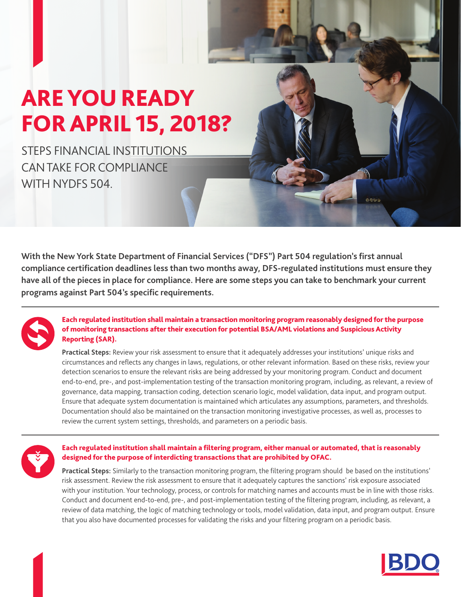## ARE YOU READY FOR APRIL 15, 2018?

STEPS FINANCIAL INSTITUTIONS CAN TAKE FOR COMPLIANCE WITH NYDFS 504.

**With the New York State Department of Financial Services ("DFS") Part 504 regulation's first annual compliance certification deadlines less than two months away, DFS-regulated institutions must ensure they have all of the pieces in place for compliance. Here are some steps you can take to benchmark your current programs against Part 504's specific requirements.** 



Each regulated institution shall maintain a transaction monitoring program reasonably designed for the purpose of monitoring transactions after their execution for potential BSA/AML violations and Suspicious Activity Reporting (SAR).

**Practical Steps:** Review your risk assessment to ensure that it adequately addresses your institutions' unique risks and circumstances and reflects any changes in laws, regulations, or other relevant information. Based on these risks, review your detection scenarios to ensure the relevant risks are being addressed by your monitoring program. Conduct and document end-to-end, pre-, and post-implementation testing of the transaction monitoring program, including, as relevant, a review of governance, data mapping, transaction coding, detection scenario logic, model validation, data input, and program output. Ensure that adequate system documentation is maintained which articulates any assumptions, parameters, and thresholds. Documentation should also be maintained on the transaction monitoring investigative processes, as well as, processes to review the current system settings, thresholds, and parameters on a periodic basis.



## Each regulated institution shall maintain a filtering program, either manual or automated, that is reasonably designed for the purpose of interdicting transactions that are prohibited by OFAC.

**Practical Steps:** Similarly to the transaction monitoring program, the filtering program should be based on the institutions' risk assessment. Review the risk assessment to ensure that it adequately captures the sanctions' risk exposure associated with your institution. Your technology, process, or controls for matching names and accounts must be in line with those risks. Conduct and document end‐to‐end, pre‐, and post‐implementation testing of the filtering program, including, as relevant, a review of data matching, the logic of matching technology or tools, model validation, data input, and program output. Ensure that you also have documented processes for validating the risks and your filtering program on a periodic basis.